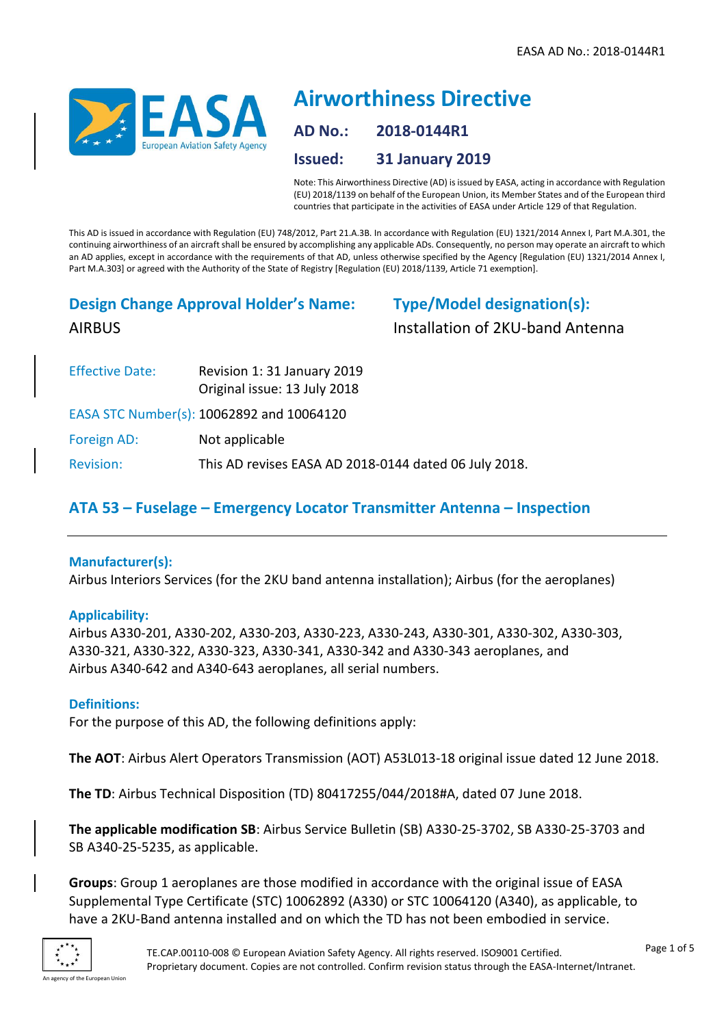

# **Airworthiness Directive AD No.: 2018-0144R1 Issued: 31 January 2019**

Note: This Airworthiness Directive (AD) is issued by EASA, acting in accordance with Regulation (EU) 2018/1139 on behalf of the European Union, its Member States and of the European third countries that participate in the activities of EASA under Article 129 of that Regulation.

This AD is issued in accordance with Regulation (EU) 748/2012, Part 21.A.3B. In accordance with Regulation (EU) 1321/2014 Annex I, Part M.A.301, the continuing airworthiness of an aircraft shall be ensured by accomplishing any applicable ADs. Consequently, no person may operate an aircraft to which an AD applies, except in accordance with the requirements of that AD, unless otherwise specified by the Agency [Regulation (EU) 1321/2014 Annex I, Part M.A.303] or agreed with the Authority of the State of Registry [Regulation (EU) 2018/1139, Article 71 exemption].

# **Design Change Approval Holder's Name:** AIRBUS

**Type/Model designation(s):** Installation of 2KU-band Antenna

| <b>Effective Date:</b> | Revision 1: 31 January 2019<br>Original issue: 13 July 2018 |  |
|------------------------|-------------------------------------------------------------|--|
|                        | EASA STC Number(s): 10062892 and 10064120                   |  |
| Foreign AD:            | Not applicable                                              |  |
| <b>Revision:</b>       | This AD revises EASA AD 2018-0144 dated 06 July 2018.       |  |

## **ATA 53 – Fuselage – Emergency Locator Transmitter Antenna – Inspection**

### **Manufacturer(s):**

Airbus Interiors Services (for the 2KU band antenna installation); Airbus (for the aeroplanes)

### **Applicability:**

Airbus A330-201, A330-202, A330-203, A330-223, A330-243, A330-301, A330-302, A330-303, A330-321, A330-322, A330-323, A330-341, A330-342 and A330-343 aeroplanes, and Airbus A340-642 and A340-643 aeroplanes, all serial numbers.

### **Definitions:**

For the purpose of this AD, the following definitions apply:

**The AOT**: Airbus Alert Operators Transmission (AOT) A53L013-18 original issue dated 12 June 2018.

**The TD**: Airbus Technical Disposition (TD) 80417255/044/2018#A, dated 07 June 2018.

**The applicable modification SB**: Airbus Service Bulletin (SB) A330-25-3702, SB A330-25-3703 and SB A340-25-5235, as applicable.

**Groups**: Group 1 aeroplanes are those modified in accordance with the original issue of EASA Supplemental Type Certificate (STC) 10062892 (A330) or STC 10064120 (A340), as applicable, to have a 2KU-Band antenna installed and on which the TD has not been embodied in service.

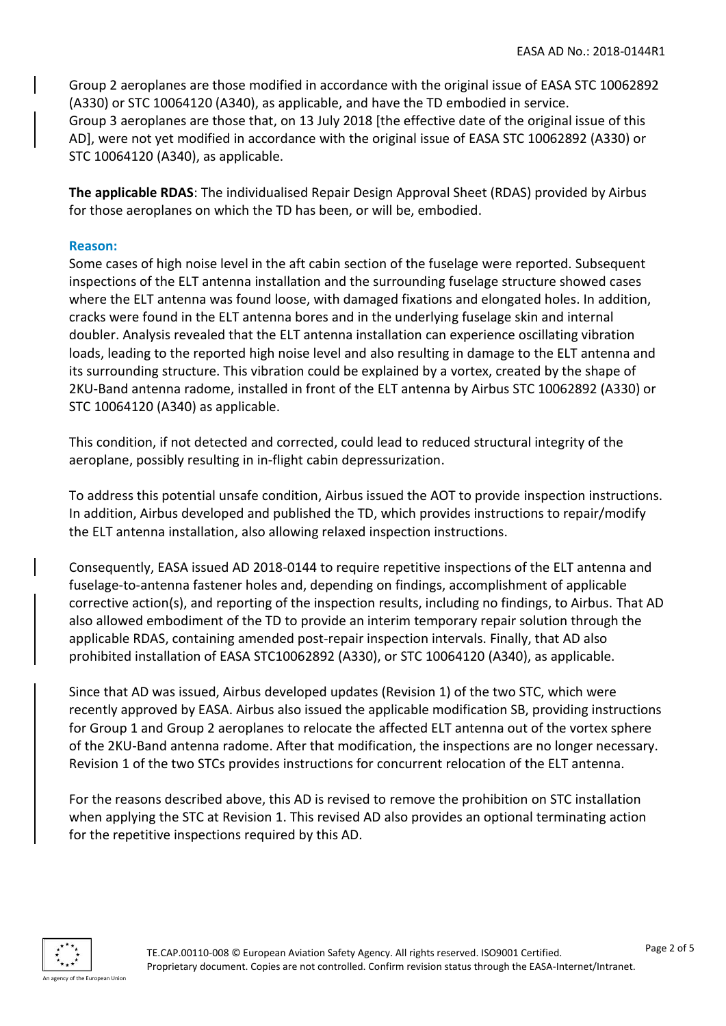Group 2 aeroplanes are those modified in accordance with the original issue of EASA STC 10062892 (A330) or STC 10064120 (A340), as applicable, and have the TD embodied in service. Group 3 aeroplanes are those that, on 13 July 2018 [the effective date of the original issue of this AD], were not yet modified in accordance with the original issue of EASA STC 10062892 (A330) or STC 10064120 (A340), as applicable.

**The applicable RDAS**: The individualised Repair Design Approval Sheet (RDAS) provided by Airbus for those aeroplanes on which the TD has been, or will be, embodied.

#### **Reason:**

Some cases of high noise level in the aft cabin section of the fuselage were reported. Subsequent inspections of the ELT antenna installation and the surrounding fuselage structure showed cases where the ELT antenna was found loose, with damaged fixations and elongated holes. In addition, cracks were found in the ELT antenna bores and in the underlying fuselage skin and internal doubler. Analysis revealed that the ELT antenna installation can experience oscillating vibration loads, leading to the reported high noise level and also resulting in damage to the ELT antenna and its surrounding structure. This vibration could be explained by a vortex, created by the shape of 2KU-Band antenna radome, installed in front of the ELT antenna by Airbus STC 10062892 (A330) or STC 10064120 (A340) as applicable.

This condition, if not detected and corrected, could lead to reduced structural integrity of the aeroplane, possibly resulting in in-flight cabin depressurization.

To address this potential unsafe condition, Airbus issued the AOT to provide inspection instructions. In addition, Airbus developed and published the TD, which provides instructions to repair/modify the ELT antenna installation, also allowing relaxed inspection instructions.

Consequently, EASA issued AD 2018-0144 to require repetitive inspections of the ELT antenna and fuselage-to-antenna fastener holes and, depending on findings, accomplishment of applicable corrective action(s), and reporting of the inspection results, including no findings, to Airbus. That AD also allowed embodiment of the TD to provide an interim temporary repair solution through the applicable RDAS, containing amended post-repair inspection intervals. Finally, that AD also prohibited installation of EASA STC10062892 (A330), or STC 10064120 (A340), as applicable.

Since that AD was issued, Airbus developed updates (Revision 1) of the two STC, which were recently approved by EASA. Airbus also issued the applicable modification SB, providing instructions for Group 1 and Group 2 aeroplanes to relocate the affected ELT antenna out of the vortex sphere of the 2KU-Band antenna radome. After that modification, the inspections are no longer necessary. Revision 1 of the two STCs provides instructions for concurrent relocation of the ELT antenna.

For the reasons described above, this AD is revised to remove the prohibition on STC installation when applying the STC at Revision 1. This revised AD also provides an optional terminating action for the repetitive inspections required by this AD.

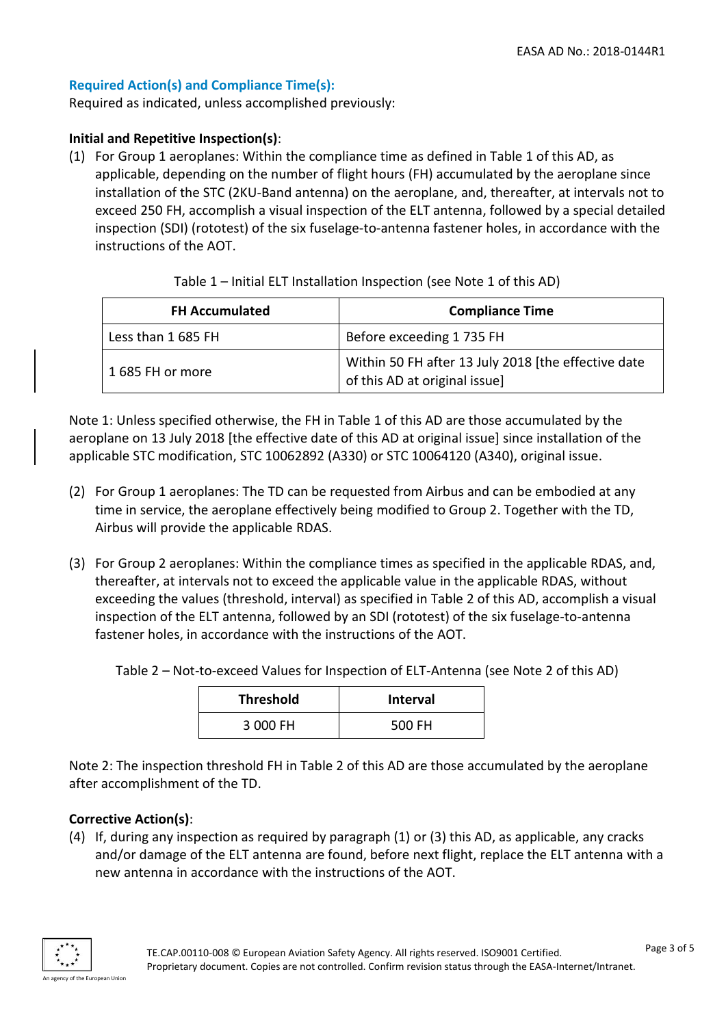## **Required Action(s) and Compliance Time(s):**

Required as indicated, unless accomplished previously:

#### **Initial and Repetitive Inspection(s)**:

(1) For Group 1 aeroplanes: Within the compliance time as defined in Table 1 of this AD, as applicable, depending on the number of flight hours (FH) accumulated by the aeroplane since installation of the STC (2KU-Band antenna) on the aeroplane, and, thereafter, at intervals not to exceed 250 FH, accomplish a visual inspection of the ELT antenna, followed by a special detailed inspection (SDI) (rototest) of the six fuselage-to-antenna fastener holes, in accordance with the instructions of the AOT.

| <b>FH Accumulated</b> | <b>Compliance Time</b>                                                               |
|-----------------------|--------------------------------------------------------------------------------------|
| Less than 1685 FH     | Before exceeding 1735 FH                                                             |
| 1685 FH or more       | Within 50 FH after 13 July 2018 [the effective date<br>of this AD at original issue] |

Note 1: Unless specified otherwise, the FH in Table 1 of this AD are those accumulated by the aeroplane on 13 July 2018 [the effective date of this AD at original issue] since installation of the applicable STC modification, STC 10062892 (A330) or STC 10064120 (A340), original issue.

- (2) For Group 1 aeroplanes: The TD can be requested from Airbus and can be embodied at any time in service, the aeroplane effectively being modified to Group 2. Together with the TD, Airbus will provide the applicable RDAS.
- (3) For Group 2 aeroplanes: Within the compliance times as specified in the applicable RDAS, and, thereafter, at intervals not to exceed the applicable value in the applicable RDAS, without exceeding the values (threshold, interval) as specified in Table 2 of this AD, accomplish a visual inspection of the ELT antenna, followed by an SDI (rototest) of the six fuselage-to-antenna fastener holes, in accordance with the instructions of the AOT.

Table 2 – Not-to-exceed Values for Inspection of ELT-Antenna (see Note 2 of this AD)

| <b>Threshold</b> | <b>Interval</b> |
|------------------|-----------------|
| 3 000 FH         | 500 FH          |

Note 2: The inspection threshold FH in Table 2 of this AD are those accumulated by the aeroplane after accomplishment of the TD.

### **Corrective Action(s)**:

(4) If, during any inspection as required by paragraph (1) or (3) this AD, as applicable, any cracks and/or damage of the ELT antenna are found, before next flight, replace the ELT antenna with a new antenna in accordance with the instructions of the AOT.

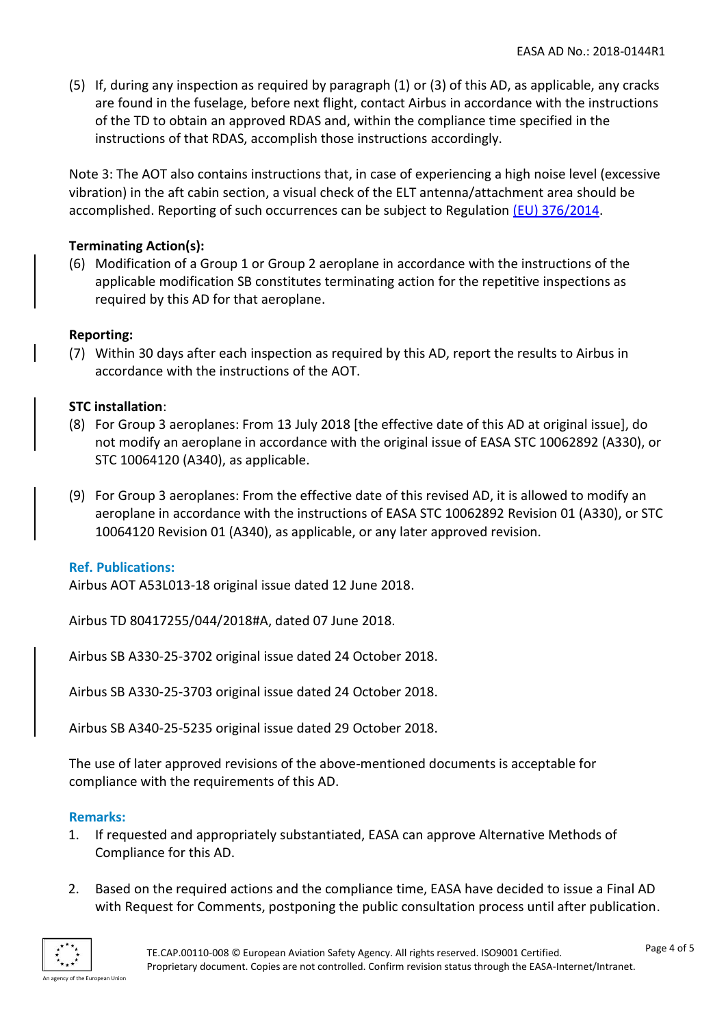(5) If, during any inspection as required by paragraph (1) or (3) of this AD, as applicable, any cracks are found in the fuselage, before next flight, contact Airbus in accordance with the instructions of the TD to obtain an approved RDAS and, within the compliance time specified in the instructions of that RDAS, accomplish those instructions accordingly.

Note 3: The AOT also contains instructions that, in case of experiencing a high noise level (excessive vibration) in the aft cabin section, a visual check of the ELT antenna/attachment area should be accomplished. Reporting of such occurrences can be subject to Regulation [\(EU\) 376/2014.](http://eur-lex.europa.eu/legal-content/EN/TXT/PDF/?uri=CELEX:32014R0376&from=EN)

#### **Terminating Action(s):**

(6) Modification of a Group 1 or Group 2 aeroplane in accordance with the instructions of the applicable modification SB constitutes terminating action for the repetitive inspections as required by this AD for that aeroplane.

#### **Reporting:**

(7) Within 30 days after each inspection as required by this AD, report the results to Airbus in accordance with the instructions of the AOT.

#### **STC installation**:

- (8) For Group 3 aeroplanes: From 13 July 2018 [the effective date of this AD at original issue], do not modify an aeroplane in accordance with the original issue of EASA STC 10062892 (A330), or STC 10064120 (A340), as applicable.
- (9) For Group 3 aeroplanes: From the effective date of this revised AD, it is allowed to modify an aeroplane in accordance with the instructions of EASA STC 10062892 Revision 01 (A330), or STC 10064120 Revision 01 (A340), as applicable, or any later approved revision.

#### **Ref. Publications:**

Airbus AOT A53L013-18 original issue dated 12 June 2018.

Airbus TD 80417255/044/2018#A, dated 07 June 2018.

Airbus SB A330-25-3702 original issue dated 24 October 2018.

Airbus SB A330-25-3703 original issue dated 24 October 2018.

Airbus SB A340-25-5235 original issue dated 29 October 2018.

The use of later approved revisions of the above-mentioned documents is acceptable for compliance with the requirements of this AD.

#### **Remarks:**

- 1. If requested and appropriately substantiated, EASA can approve Alternative Methods of Compliance for this AD.
- 2. Based on the required actions and the compliance time, EASA have decided to issue a Final AD with Request for Comments, postponing the public consultation process until after publication.